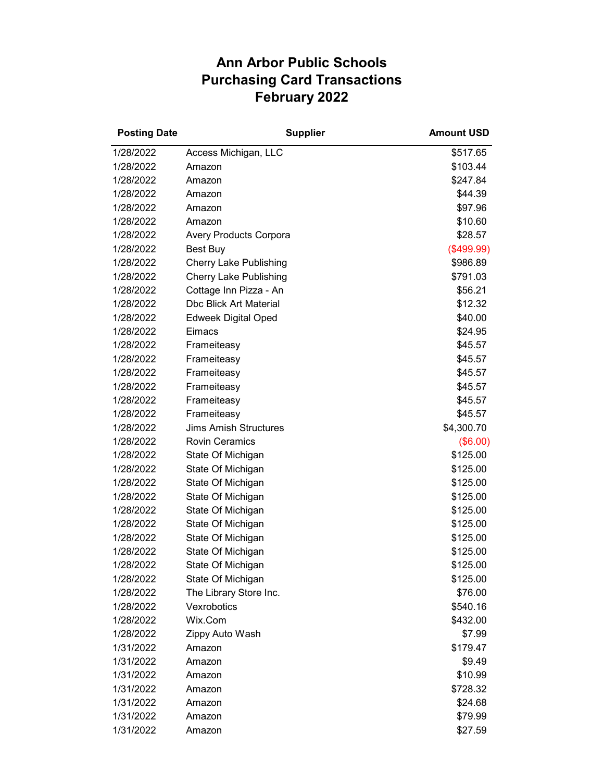## **Ann Arbor Public Schools Purchasing Card Transactions February 2022**

| <b>Posting Date</b> | <b>Supplier</b>               | <b>Amount USD</b> |
|---------------------|-------------------------------|-------------------|
| 1/28/2022           | Access Michigan, LLC          | \$517.65          |
| 1/28/2022           | Amazon                        | \$103.44          |
| 1/28/2022           | Amazon                        | \$247.84          |
| 1/28/2022           | Amazon                        | \$44.39           |
| 1/28/2022           | Amazon                        | \$97.96           |
| 1/28/2022           | Amazon                        | \$10.60           |
| 1/28/2022           | <b>Avery Products Corpora</b> | \$28.57           |
| 1/28/2022           | Best Buy                      | (\$499.99)        |
| 1/28/2022           | <b>Cherry Lake Publishing</b> | \$986.89          |
| 1/28/2022           | <b>Cherry Lake Publishing</b> | \$791.03          |
| 1/28/2022           | Cottage Inn Pizza - An        | \$56.21           |
| 1/28/2022           | <b>Dbc Blick Art Material</b> | \$12.32           |
| 1/28/2022           | <b>Edweek Digital Oped</b>    | \$40.00           |
| 1/28/2022           | Eimacs                        | \$24.95           |
| 1/28/2022           | Frameiteasy                   | \$45.57           |
| 1/28/2022           | Frameiteasy                   | \$45.57           |
| 1/28/2022           | Frameiteasy                   | \$45.57           |
| 1/28/2022           | Frameiteasy                   | \$45.57           |
| 1/28/2022           | Frameiteasy                   | \$45.57           |
| 1/28/2022           | Frameiteasy                   | \$45.57           |
| 1/28/2022           | <b>Jims Amish Structures</b>  | \$4,300.70        |
| 1/28/2022           | <b>Rovin Ceramics</b>         | (\$6.00)          |
| 1/28/2022           | State Of Michigan             | \$125.00          |
| 1/28/2022           | State Of Michigan             | \$125.00          |
| 1/28/2022           | State Of Michigan             | \$125.00          |
| 1/28/2022           | State Of Michigan             | \$125.00          |
| 1/28/2022           | State Of Michigan             | \$125.00          |
| 1/28/2022           | State Of Michigan             | \$125.00          |
| 1/28/2022           | State Of Michigan             | \$125.00          |
| 1/28/2022           | State Of Michigan             | \$125.00          |
| 1/28/2022           | State Of Michigan             | \$125.00          |
| 1/28/2022           | State Of Michigan             | \$125.00          |
| 1/28/2022           | The Library Store Inc.        | \$76.00           |
| 1/28/2022           | Vexrobotics                   | \$540.16          |
| 1/28/2022           | Wix.Com                       | \$432.00          |
| 1/28/2022           | Zippy Auto Wash               | \$7.99            |
| 1/31/2022           | Amazon                        | \$179.47          |
| 1/31/2022           | Amazon                        | \$9.49            |
| 1/31/2022           | Amazon                        | \$10.99           |
| 1/31/2022           | Amazon                        | \$728.32          |
| 1/31/2022           | Amazon                        | \$24.68           |
| 1/31/2022           | Amazon                        | \$79.99           |
| 1/31/2022           | Amazon                        | \$27.59           |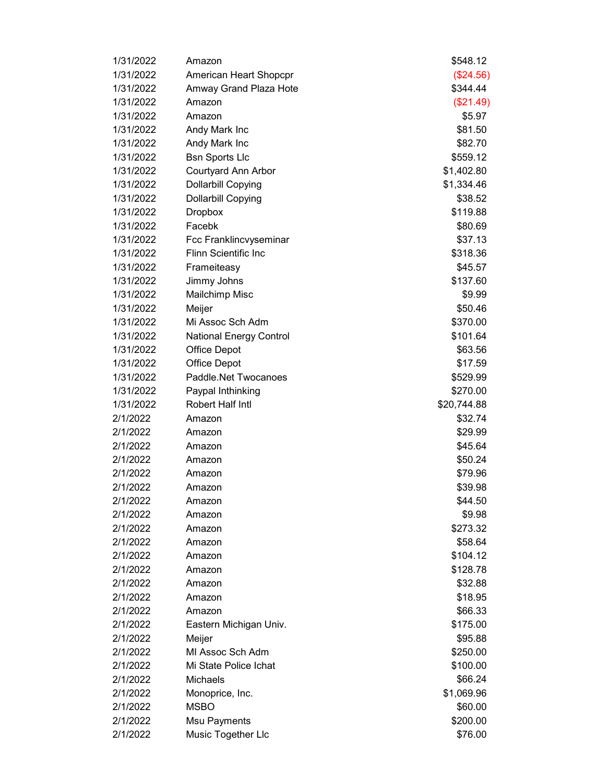| 1/31/2022 | Amazon                         | \$548.12    |
|-----------|--------------------------------|-------------|
| 1/31/2022 | American Heart Shopcpr         | (\$24.56)   |
| 1/31/2022 | Amway Grand Plaza Hote         | \$344.44    |
| 1/31/2022 | Amazon                         | (\$21.49)   |
| 1/31/2022 | Amazon                         | \$5.97      |
| 1/31/2022 | Andy Mark Inc                  | \$81.50     |
| 1/31/2022 | Andy Mark Inc                  | \$82.70     |
| 1/31/2022 | <b>Bsn Sports Llc</b>          | \$559.12    |
| 1/31/2022 | Courtyard Ann Arbor            | \$1,402.80  |
| 1/31/2022 | <b>Dollarbill Copying</b>      | \$1,334.46  |
| 1/31/2022 | <b>Dollarbill Copying</b>      | \$38.52     |
| 1/31/2022 | <b>Dropbox</b>                 | \$119.88    |
| 1/31/2022 | Facebk                         | \$80.69     |
| 1/31/2022 | Fcc Franklincvyseminar         | \$37.13     |
| 1/31/2022 | <b>Flinn Scientific Inc.</b>   | \$318.36    |
| 1/31/2022 | Frameiteasy                    | \$45.57     |
| 1/31/2022 | Jimmy Johns                    | \$137.60    |
| 1/31/2022 | Mailchimp Misc                 | \$9.99      |
| 1/31/2022 | Meijer                         | \$50.46     |
| 1/31/2022 | Mi Assoc Sch Adm               | \$370.00    |
| 1/31/2022 | <b>National Energy Control</b> | \$101.64    |
| 1/31/2022 | <b>Office Depot</b>            | \$63.56     |
| 1/31/2022 | <b>Office Depot</b>            | \$17.59     |
| 1/31/2022 | Paddle.Net Twocanoes           | \$529.99    |
| 1/31/2022 | Paypal Inthinking              | \$270.00    |
| 1/31/2022 | Robert Half Intl               | \$20,744.88 |
| 2/1/2022  | Amazon                         | \$32.74     |
| 2/1/2022  | Amazon                         | \$29.99     |
| 2/1/2022  | Amazon                         | \$45.64     |
| 2/1/2022  | Amazon                         | \$50.24     |
| 2/1/2022  | Amazon                         | \$79.96     |
| 2/1/2022  | Amazon                         | \$39.98     |
| 2/1/2022  | Amazon                         | \$44.50     |
| 2/1/2022  | Amazon                         | \$9.98      |
| 2/1/2022  | Amazon                         | \$273.32    |
| 2/1/2022  | Amazon                         | \$58.64     |
| 2/1/2022  | Amazon                         | \$104.12    |
| 2/1/2022  | Amazon                         | \$128.78    |
| 2/1/2022  | Amazon                         | \$32.88     |
| 2/1/2022  | Amazon                         | \$18.95     |
| 2/1/2022  | Amazon                         | \$66.33     |
| 2/1/2022  | Eastern Michigan Univ.         | \$175.00    |
| 2/1/2022  | Meijer                         | \$95.88     |
| 2/1/2022  | MI Assoc Sch Adm               | \$250.00    |
| 2/1/2022  | Mi State Police Ichat          | \$100.00    |
| 2/1/2022  | <b>Michaels</b>                | \$66.24     |
| 2/1/2022  | Monoprice, Inc.                | \$1,069.96  |
| 2/1/2022  | <b>MSBO</b>                    | \$60.00     |
| 2/1/2022  | <b>Msu Payments</b>            | \$200.00    |
| 2/1/2022  | Music Together Llc             | \$76.00     |
|           |                                |             |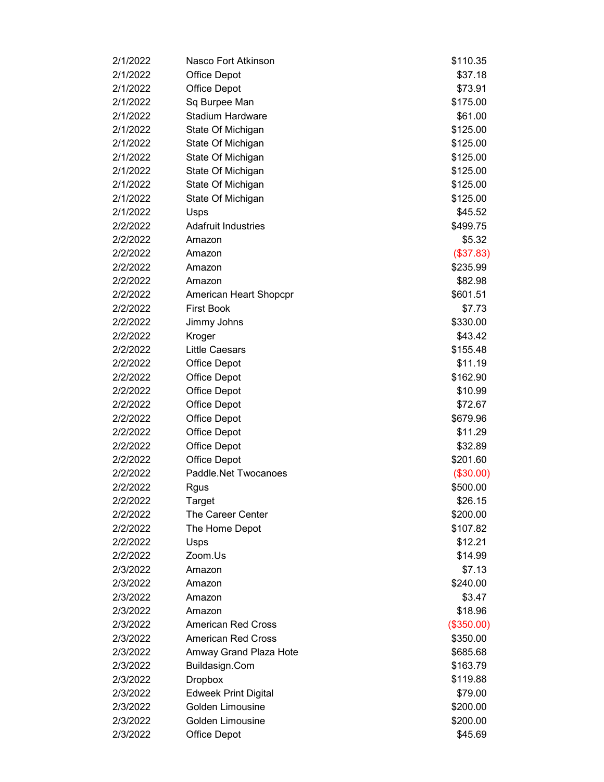| 2/1/2022 | Nasco Fort Atkinson         | \$110.35   |
|----------|-----------------------------|------------|
| 2/1/2022 | <b>Office Depot</b>         | \$37.18    |
| 2/1/2022 | <b>Office Depot</b>         | \$73.91    |
| 2/1/2022 | Sq Burpee Man               | \$175.00   |
| 2/1/2022 | Stadium Hardware            | \$61.00    |
| 2/1/2022 | State Of Michigan           | \$125.00   |
| 2/1/2022 | State Of Michigan           | \$125.00   |
| 2/1/2022 | State Of Michigan           | \$125.00   |
| 2/1/2022 | State Of Michigan           | \$125.00   |
| 2/1/2022 | State Of Michigan           | \$125.00   |
| 2/1/2022 | State Of Michigan           | \$125.00   |
| 2/1/2022 | Usps                        | \$45.52    |
| 2/2/2022 | <b>Adafruit Industries</b>  | \$499.75   |
| 2/2/2022 | Amazon                      | \$5.32     |
| 2/2/2022 | Amazon                      | (\$37.83)  |
| 2/2/2022 | Amazon                      | \$235.99   |
| 2/2/2022 | Amazon                      | \$82.98    |
| 2/2/2022 | American Heart Shopcpr      | \$601.51   |
| 2/2/2022 | <b>First Book</b>           | \$7.73     |
| 2/2/2022 | Jimmy Johns                 | \$330.00   |
| 2/2/2022 | Kroger                      | \$43.42    |
| 2/2/2022 | <b>Little Caesars</b>       | \$155.48   |
| 2/2/2022 | <b>Office Depot</b>         | \$11.19    |
| 2/2/2022 | <b>Office Depot</b>         | \$162.90   |
| 2/2/2022 | <b>Office Depot</b>         | \$10.99    |
| 2/2/2022 | <b>Office Depot</b>         | \$72.67    |
| 2/2/2022 | <b>Office Depot</b>         | \$679.96   |
| 2/2/2022 | <b>Office Depot</b>         | \$11.29    |
| 2/2/2022 | <b>Office Depot</b>         | \$32.89    |
| 2/2/2022 | <b>Office Depot</b>         | \$201.60   |
| 2/2/2022 | Paddle.Net Twocanoes        | (\$30.00)  |
| 2/2/2022 | Rgus                        | \$500.00   |
| 2/2/2022 | Target                      | \$26.15    |
| 2/2/2022 | The Career Center           | \$200.00   |
| 2/2/2022 | The Home Depot              | \$107.82   |
| 2/2/2022 | Usps                        | \$12.21    |
| 2/2/2022 | Zoom.Us                     | \$14.99    |
| 2/3/2022 | Amazon                      | \$7.13     |
| 2/3/2022 | Amazon                      | \$240.00   |
| 2/3/2022 | Amazon                      | \$3.47     |
| 2/3/2022 | Amazon                      | \$18.96    |
| 2/3/2022 | <b>American Red Cross</b>   | (\$350.00) |
| 2/3/2022 | <b>American Red Cross</b>   | \$350.00   |
| 2/3/2022 | Amway Grand Plaza Hote      | \$685.68   |
| 2/3/2022 | Buildasign.Com              | \$163.79   |
| 2/3/2022 | <b>Dropbox</b>              | \$119.88   |
| 2/3/2022 | <b>Edweek Print Digital</b> | \$79.00    |
| 2/3/2022 | Golden Limousine            | \$200.00   |
| 2/3/2022 | Golden Limousine            | \$200.00   |
| 2/3/2022 | <b>Office Depot</b>         | \$45.69    |
|          |                             |            |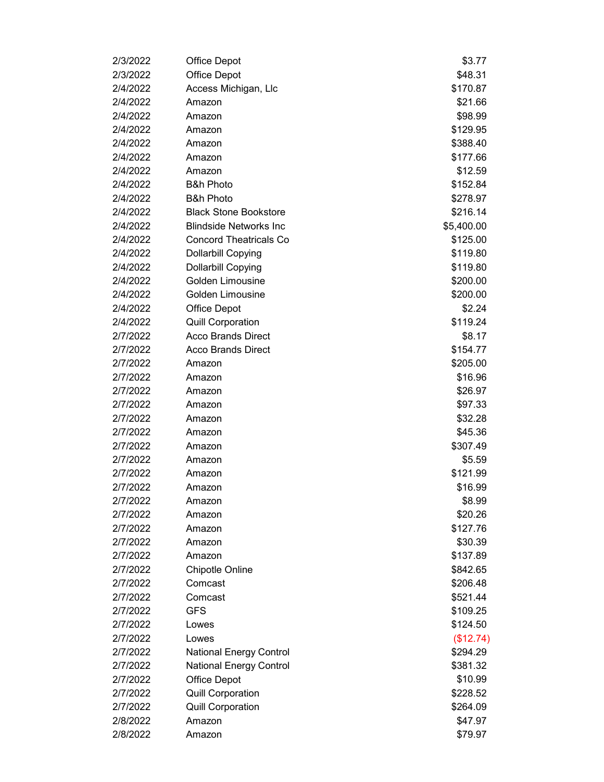| 2/3/2022 | <b>Office Depot</b>            | \$3.77     |
|----------|--------------------------------|------------|
| 2/3/2022 | Office Depot                   | \$48.31    |
| 2/4/2022 | Access Michigan, Llc           | \$170.87   |
| 2/4/2022 | Amazon                         | \$21.66    |
| 2/4/2022 | Amazon                         | \$98.99    |
| 2/4/2022 | Amazon                         | \$129.95   |
| 2/4/2022 | Amazon                         | \$388.40   |
| 2/4/2022 | Amazon                         | \$177.66   |
| 2/4/2022 | Amazon                         | \$12.59    |
| 2/4/2022 | <b>B&amp;h Photo</b>           | \$152.84   |
| 2/4/2022 | <b>B&amp;h Photo</b>           | \$278.97   |
| 2/4/2022 | <b>Black Stone Bookstore</b>   | \$216.14   |
| 2/4/2022 | <b>Blindside Networks Inc.</b> | \$5,400.00 |
| 2/4/2022 | <b>Concord Theatricals Co</b>  | \$125.00   |
| 2/4/2022 | <b>Dollarbill Copying</b>      | \$119.80   |
| 2/4/2022 | <b>Dollarbill Copying</b>      | \$119.80   |
| 2/4/2022 | Golden Limousine               | \$200.00   |
| 2/4/2022 | Golden Limousine               | \$200.00   |
| 2/4/2022 | <b>Office Depot</b>            | \$2.24     |
| 2/4/2022 | <b>Quill Corporation</b>       | \$119.24   |
| 2/7/2022 | <b>Acco Brands Direct</b>      | \$8.17     |
| 2/7/2022 | <b>Acco Brands Direct</b>      | \$154.77   |
| 2/7/2022 | Amazon                         | \$205.00   |
| 2/7/2022 | Amazon                         | \$16.96    |
| 2/7/2022 | Amazon                         | \$26.97    |
| 2/7/2022 | Amazon                         | \$97.33    |
| 2/7/2022 | Amazon                         | \$32.28    |
| 2/7/2022 | Amazon                         | \$45.36    |
| 2/7/2022 | Amazon                         | \$307.49   |
| 2/7/2022 | Amazon                         | \$5.59     |
| 2/7/2022 | Amazon                         | \$121.99   |
| 2/7/2022 | Amazon                         | \$16.99    |
| 2/7/2022 | Amazon                         | \$8.99     |
| 2/7/2022 | Amazon                         | \$20.26    |
| 2/7/2022 | Amazon                         | \$127.76   |
| 2/7/2022 | Amazon                         | \$30.39    |
| 2/7/2022 | Amazon                         | \$137.89   |
| 2/7/2022 | <b>Chipotle Online</b>         | \$842.65   |
| 2/7/2022 | Comcast                        | \$206.48   |
| 2/7/2022 | Comcast                        | \$521.44   |
| 2/7/2022 | <b>GFS</b>                     | \$109.25   |
| 2/7/2022 | Lowes                          | \$124.50   |
| 2/7/2022 | Lowes                          | (\$12.74)  |
| 2/7/2022 | <b>National Energy Control</b> | \$294.29   |
| 2/7/2022 | <b>National Energy Control</b> | \$381.32   |
| 2/7/2022 | <b>Office Depot</b>            | \$10.99    |
| 2/7/2022 | <b>Quill Corporation</b>       | \$228.52   |
| 2/7/2022 | <b>Quill Corporation</b>       | \$264.09   |
| 2/8/2022 | Amazon                         | \$47.97    |
| 2/8/2022 | Amazon                         | \$79.97    |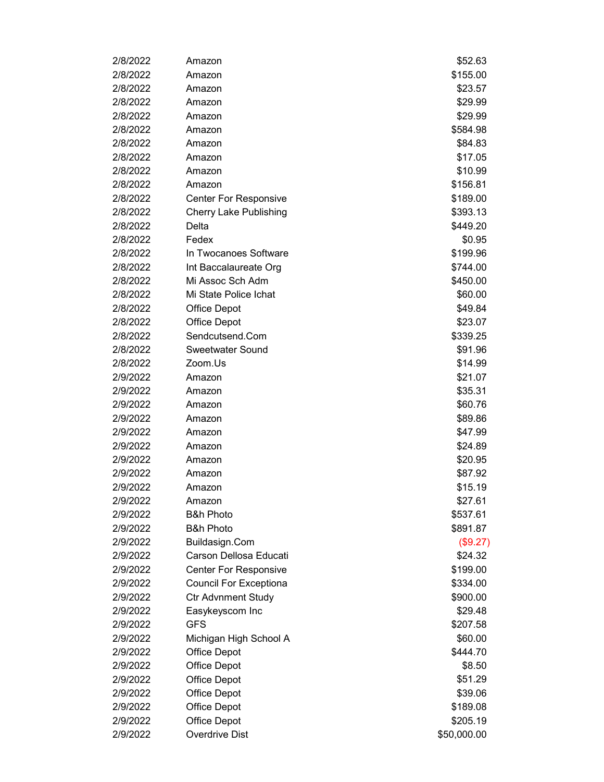| 2/8/2022 | Amazon                        | \$52.63     |
|----------|-------------------------------|-------------|
| 2/8/2022 | Amazon                        | \$155.00    |
| 2/8/2022 | Amazon                        | \$23.57     |
| 2/8/2022 | Amazon                        | \$29.99     |
| 2/8/2022 | Amazon                        | \$29.99     |
| 2/8/2022 | Amazon                        | \$584.98    |
| 2/8/2022 | Amazon                        | \$84.83     |
| 2/8/2022 | Amazon                        | \$17.05     |
| 2/8/2022 | Amazon                        | \$10.99     |
| 2/8/2022 | Amazon                        | \$156.81    |
| 2/8/2022 | <b>Center For Responsive</b>  | \$189.00    |
| 2/8/2022 | <b>Cherry Lake Publishing</b> | \$393.13    |
| 2/8/2022 | Delta                         | \$449.20    |
| 2/8/2022 | Fedex                         | \$0.95      |
| 2/8/2022 | In Twocanoes Software         | \$199.96    |
| 2/8/2022 | Int Baccalaureate Org         | \$744.00    |
| 2/8/2022 | Mi Assoc Sch Adm              | \$450.00    |
| 2/8/2022 | Mi State Police Ichat         | \$60.00     |
| 2/8/2022 | <b>Office Depot</b>           | \$49.84     |
| 2/8/2022 | <b>Office Depot</b>           | \$23.07     |
| 2/8/2022 | Sendcutsend.Com               | \$339.25    |
| 2/8/2022 | <b>Sweetwater Sound</b>       | \$91.96     |
| 2/8/2022 | Zoom.Us                       | \$14.99     |
| 2/9/2022 | Amazon                        | \$21.07     |
| 2/9/2022 | Amazon                        | \$35.31     |
| 2/9/2022 | Amazon                        | \$60.76     |
| 2/9/2022 | Amazon                        | \$89.86     |
| 2/9/2022 | Amazon                        | \$47.99     |
| 2/9/2022 | Amazon                        | \$24.89     |
| 2/9/2022 | Amazon                        | \$20.95     |
| 2/9/2022 | Amazon                        | \$87.92     |
| 2/9/2022 | Amazon                        | \$15.19     |
| 2/9/2022 | Amazon                        | \$27.61     |
| 2/9/2022 | <b>B&amp;h Photo</b>          | \$537.61    |
| 2/9/2022 | <b>B&amp;h Photo</b>          | \$891.87    |
| 2/9/2022 | Buildasign.Com                | (\$9.27)    |
| 2/9/2022 | Carson Dellosa Educati        | \$24.32     |
| 2/9/2022 | <b>Center For Responsive</b>  | \$199.00    |
| 2/9/2022 | <b>Council For Exceptiona</b> | \$334.00    |
| 2/9/2022 | <b>Ctr Advnment Study</b>     | \$900.00    |
| 2/9/2022 | Easykeyscom Inc               | \$29.48     |
| 2/9/2022 | <b>GFS</b>                    | \$207.58    |
| 2/9/2022 | Michigan High School A        | \$60.00     |
| 2/9/2022 | <b>Office Depot</b>           | \$444.70    |
| 2/9/2022 | <b>Office Depot</b>           | \$8.50      |
| 2/9/2022 | <b>Office Depot</b>           | \$51.29     |
| 2/9/2022 | <b>Office Depot</b>           | \$39.06     |
| 2/9/2022 | <b>Office Depot</b>           | \$189.08    |
| 2/9/2022 | <b>Office Depot</b>           | \$205.19    |
| 2/9/2022 | Overdrive Dist                | \$50,000.00 |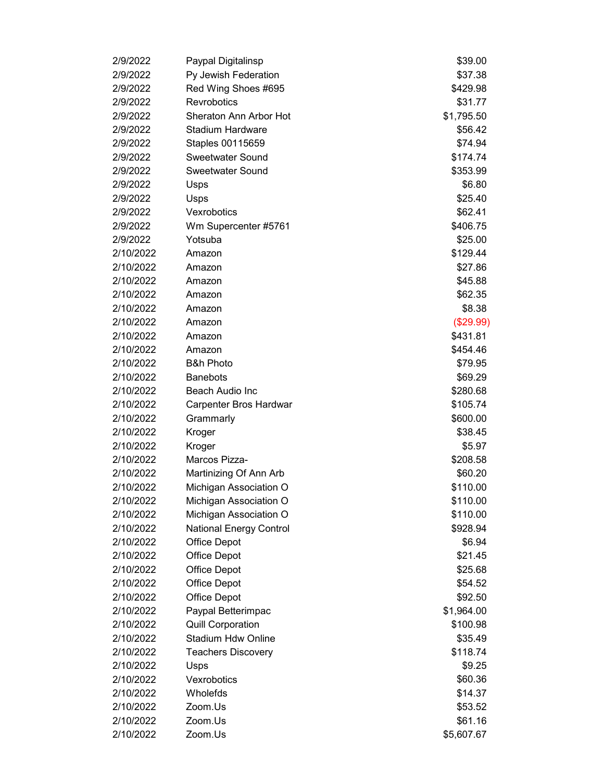| 2/9/2022  | Paypal Digitalinsp             | \$39.00    |
|-----------|--------------------------------|------------|
| 2/9/2022  | Py Jewish Federation           | \$37.38    |
| 2/9/2022  | Red Wing Shoes #695            | \$429.98   |
| 2/9/2022  | Revrobotics                    | \$31.77    |
| 2/9/2022  | Sheraton Ann Arbor Hot         | \$1,795.50 |
| 2/9/2022  | <b>Stadium Hardware</b>        | \$56.42    |
| 2/9/2022  | Staples 00115659               | \$74.94    |
| 2/9/2022  | <b>Sweetwater Sound</b>        | \$174.74   |
| 2/9/2022  | <b>Sweetwater Sound</b>        | \$353.99   |
| 2/9/2022  | Usps                           | \$6.80     |
| 2/9/2022  | Usps                           | \$25.40    |
| 2/9/2022  | Vexrobotics                    | \$62.41    |
| 2/9/2022  | Wm Supercenter #5761           | \$406.75   |
| 2/9/2022  | Yotsuba                        | \$25.00    |
| 2/10/2022 | Amazon                         | \$129.44   |
| 2/10/2022 | Amazon                         | \$27.86    |
| 2/10/2022 | Amazon                         | \$45.88    |
| 2/10/2022 | Amazon                         | \$62.35    |
| 2/10/2022 | Amazon                         | \$8.38     |
| 2/10/2022 | Amazon                         | (\$29.99)  |
| 2/10/2022 | Amazon                         | \$431.81   |
| 2/10/2022 | Amazon                         | \$454.46   |
| 2/10/2022 | <b>B&amp;h Photo</b>           | \$79.95    |
| 2/10/2022 | <b>Banebots</b>                | \$69.29    |
| 2/10/2022 | Beach Audio Inc                | \$280.68   |
| 2/10/2022 | Carpenter Bros Hardwar         | \$105.74   |
| 2/10/2022 | Grammarly                      | \$600.00   |
| 2/10/2022 | Kroger                         | \$38.45    |
| 2/10/2022 | Kroger                         | \$5.97     |
| 2/10/2022 | Marcos Pizza-                  | \$208.58   |
| 2/10/2022 | Martinizing Of Ann Arb         | \$60.20    |
| 2/10/2022 | Michigan Association O         | \$110.00   |
| 2/10/2022 | Michigan Association O         | \$110.00   |
| 2/10/2022 | Michigan Association O         | \$110.00   |
| 2/10/2022 | <b>National Energy Control</b> | \$928.94   |
| 2/10/2022 | <b>Office Depot</b>            | \$6.94     |
| 2/10/2022 | <b>Office Depot</b>            | \$21.45    |
| 2/10/2022 | <b>Office Depot</b>            | \$25.68    |
| 2/10/2022 | <b>Office Depot</b>            | \$54.52    |
| 2/10/2022 | <b>Office Depot</b>            | \$92.50    |
| 2/10/2022 | Paypal Betterimpac             | \$1,964.00 |
| 2/10/2022 | <b>Quill Corporation</b>       | \$100.98   |
| 2/10/2022 | <b>Stadium Hdw Online</b>      | \$35.49    |
| 2/10/2022 | <b>Teachers Discovery</b>      | \$118.74   |
| 2/10/2022 | Usps                           | \$9.25     |
| 2/10/2022 | Vexrobotics                    | \$60.36    |
| 2/10/2022 | Wholefds                       | \$14.37    |
| 2/10/2022 | Zoom.Us                        | \$53.52    |
| 2/10/2022 | Zoom.Us                        | \$61.16    |
| 2/10/2022 | Zoom.Us                        | \$5,607.67 |
|           |                                |            |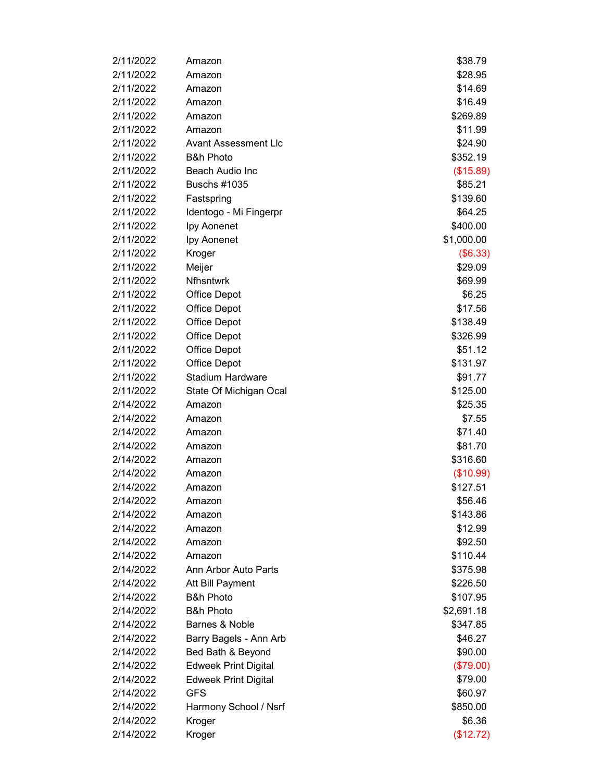| 2/11/2022 | Amazon                      | \$38.79              |
|-----------|-----------------------------|----------------------|
| 2/11/2022 | Amazon                      | \$28.95              |
| 2/11/2022 | Amazon                      | \$14.69              |
| 2/11/2022 | Amazon                      | \$16.49              |
| 2/11/2022 | Amazon                      | \$269.89             |
| 2/11/2022 | Amazon                      | \$11.99              |
| 2/11/2022 | Avant Assessment Llc        | \$24.90              |
| 2/11/2022 | <b>B&amp;h Photo</b>        | \$352.19             |
| 2/11/2022 | Beach Audio Inc             | (\$15.89)            |
| 2/11/2022 | <b>Buschs #1035</b>         | \$85.21              |
| 2/11/2022 | Fastspring                  | \$139.60             |
| 2/11/2022 | Identogo - Mi Fingerpr      | \$64.25              |
| 2/11/2022 | Ipy Aonenet                 | \$400.00             |
| 2/11/2022 | Ipy Aonenet                 | \$1,000.00           |
| 2/11/2022 | Kroger                      | (\$6.33)             |
| 2/11/2022 | Meijer                      | \$29.09              |
| 2/11/2022 | <b>Nfhsntwrk</b>            | \$69.99              |
| 2/11/2022 | <b>Office Depot</b>         | \$6.25               |
| 2/11/2022 | <b>Office Depot</b>         | \$17.56              |
| 2/11/2022 | <b>Office Depot</b>         | \$138.49             |
| 2/11/2022 | <b>Office Depot</b>         | \$326.99             |
| 2/11/2022 | <b>Office Depot</b>         | \$51.12              |
| 2/11/2022 | <b>Office Depot</b>         | \$131.97             |
| 2/11/2022 | <b>Stadium Hardware</b>     | \$91.77              |
| 2/11/2022 | State Of Michigan Ocal      | \$125.00             |
| 2/14/2022 | Amazon                      | \$25.35              |
| 2/14/2022 | Amazon                      | \$7.55               |
| 2/14/2022 | Amazon                      | \$71.40              |
| 2/14/2022 | Amazon                      | \$81.70              |
| 2/14/2022 | Amazon                      | \$316.60             |
| 2/14/2022 | Amazon                      | (\$10.99)            |
| 2/14/2022 | Amazon                      | \$127.51             |
| 2/14/2022 | Amazon                      | \$56.46              |
| 2/14/2022 | Amazon                      | \$143.86             |
| 2/14/2022 | Amazon                      | \$12.99              |
| 2/14/2022 | Amazon                      | \$92.50              |
| 2/14/2022 | Amazon                      | \$110.44             |
| 2/14/2022 | Ann Arbor Auto Parts        | \$375.98             |
| 2/14/2022 | Att Bill Payment            |                      |
| 2/14/2022 | <b>B&amp;h Photo</b>        | \$226.50<br>\$107.95 |
|           | <b>B&amp;h Photo</b>        |                      |
| 2/14/2022 | Barnes & Noble              | \$2,691.18           |
| 2/14/2022 |                             | \$347.85             |
| 2/14/2022 | Barry Bagels - Ann Arb      | \$46.27              |
| 2/14/2022 | Bed Bath & Beyond           | \$90.00              |
| 2/14/2022 | <b>Edweek Print Digital</b> | (\$79.00)            |
| 2/14/2022 | <b>Edweek Print Digital</b> | \$79.00              |
| 2/14/2022 | <b>GFS</b>                  | \$60.97              |
| 2/14/2022 | Harmony School / Nsrf       | \$850.00             |
| 2/14/2022 | Kroger                      | \$6.36               |
| 2/14/2022 | Kroger                      | (\$12.72)            |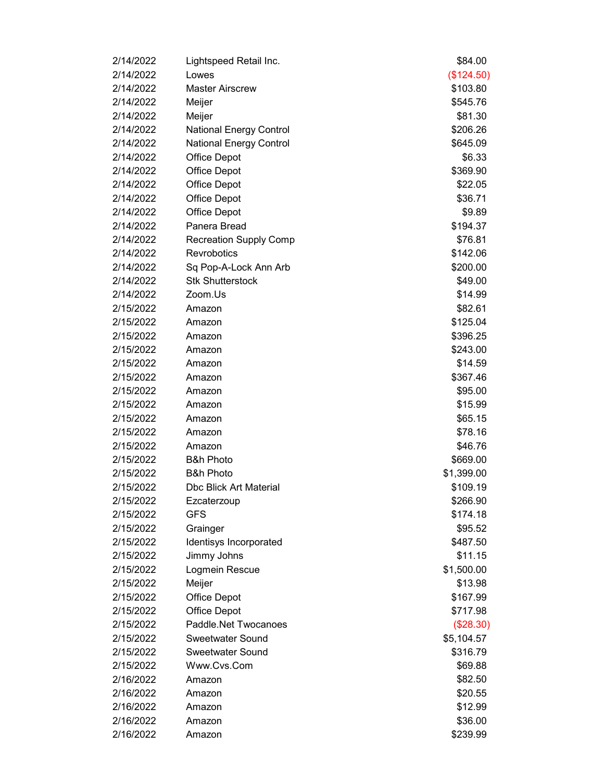| 2/14/2022<br>(\$124.50)<br>Lowes<br>2/14/2022<br><b>Master Airscrew</b><br>\$103.80<br>2/14/2022<br>Meijer<br>\$545.76<br>2/14/2022<br>Meijer<br>\$81.30<br>2/14/2022<br>\$206.26<br><b>National Energy Control</b><br>2/14/2022<br>\$645.09<br><b>National Energy Control</b><br>2/14/2022<br>\$6.33<br><b>Office Depot</b><br>2/14/2022<br>Office Depot<br>\$369.90<br>2/14/2022<br><b>Office Depot</b><br>\$22.05<br>2/14/2022<br><b>Office Depot</b><br>\$36.71<br>2/14/2022<br><b>Office Depot</b><br>\$9.89<br>Panera Bread<br>2/14/2022<br>\$194.37<br>2/14/2022<br><b>Recreation Supply Comp</b><br>\$76.81<br>2/14/2022<br>Revrobotics<br>\$142.06<br>2/14/2022<br>Sq Pop-A-Lock Ann Arb<br>\$200.00<br>2/14/2022<br><b>Stk Shutterstock</b><br>\$49.00<br>2/14/2022<br>Zoom.Us<br>\$14.99<br>2/15/2022<br>\$82.61<br>Amazon<br>2/15/2022<br>\$125.04<br>Amazon<br>2/15/2022<br>Amazon<br>\$396.25<br>2/15/2022<br>\$243.00<br>Amazon<br>2/15/2022<br>\$14.59<br>Amazon<br>2/15/2022<br>\$367.46<br>Amazon<br>2/15/2022<br>Amazon<br>\$95.00<br>2/15/2022<br>\$15.99<br>Amazon<br>2/15/2022<br>\$65.15<br>Amazon<br>2/15/2022<br>\$78.16<br>Amazon<br>2/15/2022<br>\$46.76<br>Amazon<br><b>B&amp;h Photo</b><br>2/15/2022<br>\$669.00<br>2/15/2022<br><b>B&amp;h Photo</b><br>\$1,399.00<br>2/15/2022<br><b>Dbc Blick Art Material</b><br>\$109.19<br>2/15/2022<br>\$266.90<br>Ezcaterzoup<br><b>GFS</b><br>2/15/2022<br>\$174.18<br>2/15/2022<br>\$95.52<br>Grainger<br>Identisys Incorporated<br>2/15/2022<br>\$487.50<br>\$11.15<br>2/15/2022<br>Jimmy Johns<br>2/15/2022<br>Logmein Rescue<br>\$1,500.00<br>2/15/2022<br>Meijer<br>\$13.98<br>2/15/2022<br><b>Office Depot</b><br>\$167.99<br>2/15/2022<br><b>Office Depot</b><br>\$717.98<br>Paddle.Net Twocanoes<br>2/15/2022<br>(\$28.30)<br><b>Sweetwater Sound</b><br>2/15/2022<br>\$5,104.57<br><b>Sweetwater Sound</b><br>2/15/2022<br>\$316.79<br>2/15/2022<br>Www.Cvs.Com<br>\$69.88<br>2/16/2022<br>\$82.50<br>Amazon<br>2/16/2022<br>\$20.55<br>Amazon<br>2/16/2022<br>\$12.99<br>Amazon<br>2/16/2022<br>Amazon<br>\$36.00 | 2/14/2022 | Lightspeed Retail Inc. | \$84.00  |
|----------------------------------------------------------------------------------------------------------------------------------------------------------------------------------------------------------------------------------------------------------------------------------------------------------------------------------------------------------------------------------------------------------------------------------------------------------------------------------------------------------------------------------------------------------------------------------------------------------------------------------------------------------------------------------------------------------------------------------------------------------------------------------------------------------------------------------------------------------------------------------------------------------------------------------------------------------------------------------------------------------------------------------------------------------------------------------------------------------------------------------------------------------------------------------------------------------------------------------------------------------------------------------------------------------------------------------------------------------------------------------------------------------------------------------------------------------------------------------------------------------------------------------------------------------------------------------------------------------------------------------------------------------------------------------------------------------------------------------------------------------------------------------------------------------------------------------------------------------------------------------------------------------------------------------------------------------------------------------------------------------------------------------------------------------------------------------------------------|-----------|------------------------|----------|
|                                                                                                                                                                                                                                                                                                                                                                                                                                                                                                                                                                                                                                                                                                                                                                                                                                                                                                                                                                                                                                                                                                                                                                                                                                                                                                                                                                                                                                                                                                                                                                                                                                                                                                                                                                                                                                                                                                                                                                                                                                                                                                    |           |                        |          |
|                                                                                                                                                                                                                                                                                                                                                                                                                                                                                                                                                                                                                                                                                                                                                                                                                                                                                                                                                                                                                                                                                                                                                                                                                                                                                                                                                                                                                                                                                                                                                                                                                                                                                                                                                                                                                                                                                                                                                                                                                                                                                                    |           |                        |          |
|                                                                                                                                                                                                                                                                                                                                                                                                                                                                                                                                                                                                                                                                                                                                                                                                                                                                                                                                                                                                                                                                                                                                                                                                                                                                                                                                                                                                                                                                                                                                                                                                                                                                                                                                                                                                                                                                                                                                                                                                                                                                                                    |           |                        |          |
|                                                                                                                                                                                                                                                                                                                                                                                                                                                                                                                                                                                                                                                                                                                                                                                                                                                                                                                                                                                                                                                                                                                                                                                                                                                                                                                                                                                                                                                                                                                                                                                                                                                                                                                                                                                                                                                                                                                                                                                                                                                                                                    |           |                        |          |
|                                                                                                                                                                                                                                                                                                                                                                                                                                                                                                                                                                                                                                                                                                                                                                                                                                                                                                                                                                                                                                                                                                                                                                                                                                                                                                                                                                                                                                                                                                                                                                                                                                                                                                                                                                                                                                                                                                                                                                                                                                                                                                    |           |                        |          |
|                                                                                                                                                                                                                                                                                                                                                                                                                                                                                                                                                                                                                                                                                                                                                                                                                                                                                                                                                                                                                                                                                                                                                                                                                                                                                                                                                                                                                                                                                                                                                                                                                                                                                                                                                                                                                                                                                                                                                                                                                                                                                                    |           |                        |          |
|                                                                                                                                                                                                                                                                                                                                                                                                                                                                                                                                                                                                                                                                                                                                                                                                                                                                                                                                                                                                                                                                                                                                                                                                                                                                                                                                                                                                                                                                                                                                                                                                                                                                                                                                                                                                                                                                                                                                                                                                                                                                                                    |           |                        |          |
|                                                                                                                                                                                                                                                                                                                                                                                                                                                                                                                                                                                                                                                                                                                                                                                                                                                                                                                                                                                                                                                                                                                                                                                                                                                                                                                                                                                                                                                                                                                                                                                                                                                                                                                                                                                                                                                                                                                                                                                                                                                                                                    |           |                        |          |
|                                                                                                                                                                                                                                                                                                                                                                                                                                                                                                                                                                                                                                                                                                                                                                                                                                                                                                                                                                                                                                                                                                                                                                                                                                                                                                                                                                                                                                                                                                                                                                                                                                                                                                                                                                                                                                                                                                                                                                                                                                                                                                    |           |                        |          |
|                                                                                                                                                                                                                                                                                                                                                                                                                                                                                                                                                                                                                                                                                                                                                                                                                                                                                                                                                                                                                                                                                                                                                                                                                                                                                                                                                                                                                                                                                                                                                                                                                                                                                                                                                                                                                                                                                                                                                                                                                                                                                                    |           |                        |          |
|                                                                                                                                                                                                                                                                                                                                                                                                                                                                                                                                                                                                                                                                                                                                                                                                                                                                                                                                                                                                                                                                                                                                                                                                                                                                                                                                                                                                                                                                                                                                                                                                                                                                                                                                                                                                                                                                                                                                                                                                                                                                                                    |           |                        |          |
|                                                                                                                                                                                                                                                                                                                                                                                                                                                                                                                                                                                                                                                                                                                                                                                                                                                                                                                                                                                                                                                                                                                                                                                                                                                                                                                                                                                                                                                                                                                                                                                                                                                                                                                                                                                                                                                                                                                                                                                                                                                                                                    |           |                        |          |
|                                                                                                                                                                                                                                                                                                                                                                                                                                                                                                                                                                                                                                                                                                                                                                                                                                                                                                                                                                                                                                                                                                                                                                                                                                                                                                                                                                                                                                                                                                                                                                                                                                                                                                                                                                                                                                                                                                                                                                                                                                                                                                    |           |                        |          |
|                                                                                                                                                                                                                                                                                                                                                                                                                                                                                                                                                                                                                                                                                                                                                                                                                                                                                                                                                                                                                                                                                                                                                                                                                                                                                                                                                                                                                                                                                                                                                                                                                                                                                                                                                                                                                                                                                                                                                                                                                                                                                                    |           |                        |          |
|                                                                                                                                                                                                                                                                                                                                                                                                                                                                                                                                                                                                                                                                                                                                                                                                                                                                                                                                                                                                                                                                                                                                                                                                                                                                                                                                                                                                                                                                                                                                                                                                                                                                                                                                                                                                                                                                                                                                                                                                                                                                                                    |           |                        |          |
|                                                                                                                                                                                                                                                                                                                                                                                                                                                                                                                                                                                                                                                                                                                                                                                                                                                                                                                                                                                                                                                                                                                                                                                                                                                                                                                                                                                                                                                                                                                                                                                                                                                                                                                                                                                                                                                                                                                                                                                                                                                                                                    |           |                        |          |
|                                                                                                                                                                                                                                                                                                                                                                                                                                                                                                                                                                                                                                                                                                                                                                                                                                                                                                                                                                                                                                                                                                                                                                                                                                                                                                                                                                                                                                                                                                                                                                                                                                                                                                                                                                                                                                                                                                                                                                                                                                                                                                    |           |                        |          |
|                                                                                                                                                                                                                                                                                                                                                                                                                                                                                                                                                                                                                                                                                                                                                                                                                                                                                                                                                                                                                                                                                                                                                                                                                                                                                                                                                                                                                                                                                                                                                                                                                                                                                                                                                                                                                                                                                                                                                                                                                                                                                                    |           |                        |          |
|                                                                                                                                                                                                                                                                                                                                                                                                                                                                                                                                                                                                                                                                                                                                                                                                                                                                                                                                                                                                                                                                                                                                                                                                                                                                                                                                                                                                                                                                                                                                                                                                                                                                                                                                                                                                                                                                                                                                                                                                                                                                                                    |           |                        |          |
|                                                                                                                                                                                                                                                                                                                                                                                                                                                                                                                                                                                                                                                                                                                                                                                                                                                                                                                                                                                                                                                                                                                                                                                                                                                                                                                                                                                                                                                                                                                                                                                                                                                                                                                                                                                                                                                                                                                                                                                                                                                                                                    |           |                        |          |
|                                                                                                                                                                                                                                                                                                                                                                                                                                                                                                                                                                                                                                                                                                                                                                                                                                                                                                                                                                                                                                                                                                                                                                                                                                                                                                                                                                                                                                                                                                                                                                                                                                                                                                                                                                                                                                                                                                                                                                                                                                                                                                    |           |                        |          |
|                                                                                                                                                                                                                                                                                                                                                                                                                                                                                                                                                                                                                                                                                                                                                                                                                                                                                                                                                                                                                                                                                                                                                                                                                                                                                                                                                                                                                                                                                                                                                                                                                                                                                                                                                                                                                                                                                                                                                                                                                                                                                                    |           |                        |          |
|                                                                                                                                                                                                                                                                                                                                                                                                                                                                                                                                                                                                                                                                                                                                                                                                                                                                                                                                                                                                                                                                                                                                                                                                                                                                                                                                                                                                                                                                                                                                                                                                                                                                                                                                                                                                                                                                                                                                                                                                                                                                                                    |           |                        |          |
|                                                                                                                                                                                                                                                                                                                                                                                                                                                                                                                                                                                                                                                                                                                                                                                                                                                                                                                                                                                                                                                                                                                                                                                                                                                                                                                                                                                                                                                                                                                                                                                                                                                                                                                                                                                                                                                                                                                                                                                                                                                                                                    |           |                        |          |
|                                                                                                                                                                                                                                                                                                                                                                                                                                                                                                                                                                                                                                                                                                                                                                                                                                                                                                                                                                                                                                                                                                                                                                                                                                                                                                                                                                                                                                                                                                                                                                                                                                                                                                                                                                                                                                                                                                                                                                                                                                                                                                    |           |                        |          |
|                                                                                                                                                                                                                                                                                                                                                                                                                                                                                                                                                                                                                                                                                                                                                                                                                                                                                                                                                                                                                                                                                                                                                                                                                                                                                                                                                                                                                                                                                                                                                                                                                                                                                                                                                                                                                                                                                                                                                                                                                                                                                                    |           |                        |          |
|                                                                                                                                                                                                                                                                                                                                                                                                                                                                                                                                                                                                                                                                                                                                                                                                                                                                                                                                                                                                                                                                                                                                                                                                                                                                                                                                                                                                                                                                                                                                                                                                                                                                                                                                                                                                                                                                                                                                                                                                                                                                                                    |           |                        |          |
|                                                                                                                                                                                                                                                                                                                                                                                                                                                                                                                                                                                                                                                                                                                                                                                                                                                                                                                                                                                                                                                                                                                                                                                                                                                                                                                                                                                                                                                                                                                                                                                                                                                                                                                                                                                                                                                                                                                                                                                                                                                                                                    |           |                        |          |
|                                                                                                                                                                                                                                                                                                                                                                                                                                                                                                                                                                                                                                                                                                                                                                                                                                                                                                                                                                                                                                                                                                                                                                                                                                                                                                                                                                                                                                                                                                                                                                                                                                                                                                                                                                                                                                                                                                                                                                                                                                                                                                    |           |                        |          |
|                                                                                                                                                                                                                                                                                                                                                                                                                                                                                                                                                                                                                                                                                                                                                                                                                                                                                                                                                                                                                                                                                                                                                                                                                                                                                                                                                                                                                                                                                                                                                                                                                                                                                                                                                                                                                                                                                                                                                                                                                                                                                                    |           |                        |          |
|                                                                                                                                                                                                                                                                                                                                                                                                                                                                                                                                                                                                                                                                                                                                                                                                                                                                                                                                                                                                                                                                                                                                                                                                                                                                                                                                                                                                                                                                                                                                                                                                                                                                                                                                                                                                                                                                                                                                                                                                                                                                                                    |           |                        |          |
|                                                                                                                                                                                                                                                                                                                                                                                                                                                                                                                                                                                                                                                                                                                                                                                                                                                                                                                                                                                                                                                                                                                                                                                                                                                                                                                                                                                                                                                                                                                                                                                                                                                                                                                                                                                                                                                                                                                                                                                                                                                                                                    |           |                        |          |
|                                                                                                                                                                                                                                                                                                                                                                                                                                                                                                                                                                                                                                                                                                                                                                                                                                                                                                                                                                                                                                                                                                                                                                                                                                                                                                                                                                                                                                                                                                                                                                                                                                                                                                                                                                                                                                                                                                                                                                                                                                                                                                    |           |                        |          |
|                                                                                                                                                                                                                                                                                                                                                                                                                                                                                                                                                                                                                                                                                                                                                                                                                                                                                                                                                                                                                                                                                                                                                                                                                                                                                                                                                                                                                                                                                                                                                                                                                                                                                                                                                                                                                                                                                                                                                                                                                                                                                                    |           |                        |          |
|                                                                                                                                                                                                                                                                                                                                                                                                                                                                                                                                                                                                                                                                                                                                                                                                                                                                                                                                                                                                                                                                                                                                                                                                                                                                                                                                                                                                                                                                                                                                                                                                                                                                                                                                                                                                                                                                                                                                                                                                                                                                                                    |           |                        |          |
|                                                                                                                                                                                                                                                                                                                                                                                                                                                                                                                                                                                                                                                                                                                                                                                                                                                                                                                                                                                                                                                                                                                                                                                                                                                                                                                                                                                                                                                                                                                                                                                                                                                                                                                                                                                                                                                                                                                                                                                                                                                                                                    |           |                        |          |
|                                                                                                                                                                                                                                                                                                                                                                                                                                                                                                                                                                                                                                                                                                                                                                                                                                                                                                                                                                                                                                                                                                                                                                                                                                                                                                                                                                                                                                                                                                                                                                                                                                                                                                                                                                                                                                                                                                                                                                                                                                                                                                    |           |                        |          |
|                                                                                                                                                                                                                                                                                                                                                                                                                                                                                                                                                                                                                                                                                                                                                                                                                                                                                                                                                                                                                                                                                                                                                                                                                                                                                                                                                                                                                                                                                                                                                                                                                                                                                                                                                                                                                                                                                                                                                                                                                                                                                                    |           |                        |          |
|                                                                                                                                                                                                                                                                                                                                                                                                                                                                                                                                                                                                                                                                                                                                                                                                                                                                                                                                                                                                                                                                                                                                                                                                                                                                                                                                                                                                                                                                                                                                                                                                                                                                                                                                                                                                                                                                                                                                                                                                                                                                                                    |           |                        |          |
|                                                                                                                                                                                                                                                                                                                                                                                                                                                                                                                                                                                                                                                                                                                                                                                                                                                                                                                                                                                                                                                                                                                                                                                                                                                                                                                                                                                                                                                                                                                                                                                                                                                                                                                                                                                                                                                                                                                                                                                                                                                                                                    |           |                        |          |
|                                                                                                                                                                                                                                                                                                                                                                                                                                                                                                                                                                                                                                                                                                                                                                                                                                                                                                                                                                                                                                                                                                                                                                                                                                                                                                                                                                                                                                                                                                                                                                                                                                                                                                                                                                                                                                                                                                                                                                                                                                                                                                    |           |                        |          |
|                                                                                                                                                                                                                                                                                                                                                                                                                                                                                                                                                                                                                                                                                                                                                                                                                                                                                                                                                                                                                                                                                                                                                                                                                                                                                                                                                                                                                                                                                                                                                                                                                                                                                                                                                                                                                                                                                                                                                                                                                                                                                                    |           |                        |          |
|                                                                                                                                                                                                                                                                                                                                                                                                                                                                                                                                                                                                                                                                                                                                                                                                                                                                                                                                                                                                                                                                                                                                                                                                                                                                                                                                                                                                                                                                                                                                                                                                                                                                                                                                                                                                                                                                                                                                                                                                                                                                                                    |           |                        |          |
|                                                                                                                                                                                                                                                                                                                                                                                                                                                                                                                                                                                                                                                                                                                                                                                                                                                                                                                                                                                                                                                                                                                                                                                                                                                                                                                                                                                                                                                                                                                                                                                                                                                                                                                                                                                                                                                                                                                                                                                                                                                                                                    |           |                        |          |
|                                                                                                                                                                                                                                                                                                                                                                                                                                                                                                                                                                                                                                                                                                                                                                                                                                                                                                                                                                                                                                                                                                                                                                                                                                                                                                                                                                                                                                                                                                                                                                                                                                                                                                                                                                                                                                                                                                                                                                                                                                                                                                    |           |                        |          |
|                                                                                                                                                                                                                                                                                                                                                                                                                                                                                                                                                                                                                                                                                                                                                                                                                                                                                                                                                                                                                                                                                                                                                                                                                                                                                                                                                                                                                                                                                                                                                                                                                                                                                                                                                                                                                                                                                                                                                                                                                                                                                                    |           |                        |          |
|                                                                                                                                                                                                                                                                                                                                                                                                                                                                                                                                                                                                                                                                                                                                                                                                                                                                                                                                                                                                                                                                                                                                                                                                                                                                                                                                                                                                                                                                                                                                                                                                                                                                                                                                                                                                                                                                                                                                                                                                                                                                                                    |           |                        |          |
|                                                                                                                                                                                                                                                                                                                                                                                                                                                                                                                                                                                                                                                                                                                                                                                                                                                                                                                                                                                                                                                                                                                                                                                                                                                                                                                                                                                                                                                                                                                                                                                                                                                                                                                                                                                                                                                                                                                                                                                                                                                                                                    |           |                        |          |
|                                                                                                                                                                                                                                                                                                                                                                                                                                                                                                                                                                                                                                                                                                                                                                                                                                                                                                                                                                                                                                                                                                                                                                                                                                                                                                                                                                                                                                                                                                                                                                                                                                                                                                                                                                                                                                                                                                                                                                                                                                                                                                    | 2/16/2022 | Amazon                 | \$239.99 |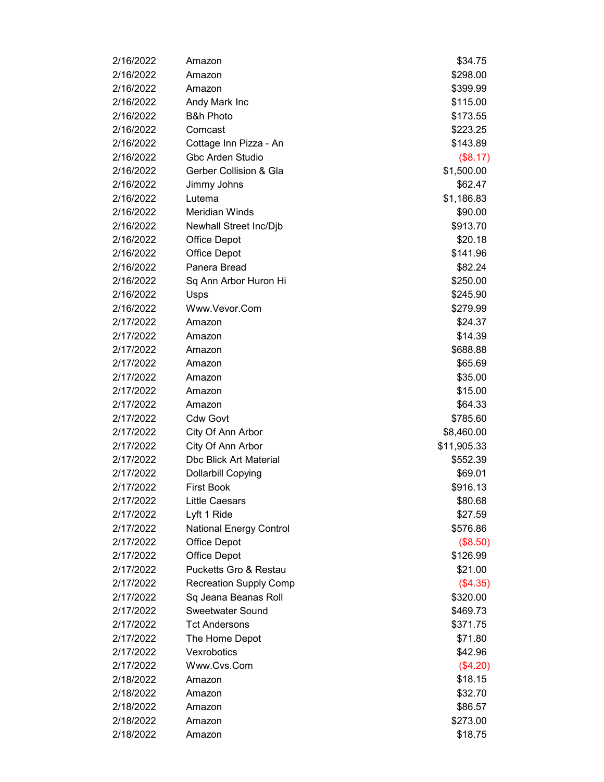| 2/16/2022 | Amazon                         | \$34.75     |
|-----------|--------------------------------|-------------|
| 2/16/2022 | Amazon                         | \$298.00    |
| 2/16/2022 | Amazon                         | \$399.99    |
| 2/16/2022 | Andy Mark Inc                  | \$115.00    |
| 2/16/2022 | <b>B&amp;h Photo</b>           | \$173.55    |
| 2/16/2022 | Comcast                        | \$223.25    |
| 2/16/2022 | Cottage Inn Pizza - An         | \$143.89    |
| 2/16/2022 | Gbc Arden Studio               | (\$8.17)    |
| 2/16/2022 | Gerber Collision & Gla         | \$1,500.00  |
| 2/16/2022 | Jimmy Johns                    | \$62.47     |
| 2/16/2022 | Lutema                         | \$1,186.83  |
| 2/16/2022 | <b>Meridian Winds</b>          | \$90.00     |
| 2/16/2022 | Newhall Street Inc/Djb         | \$913.70    |
| 2/16/2022 | <b>Office Depot</b>            | \$20.18     |
| 2/16/2022 | <b>Office Depot</b>            | \$141.96    |
| 2/16/2022 | Panera Bread                   | \$82.24     |
| 2/16/2022 | Sq Ann Arbor Huron Hi          | \$250.00    |
| 2/16/2022 | Usps                           | \$245.90    |
| 2/16/2022 | Www.Vevor.Com                  | \$279.99    |
| 2/17/2022 | Amazon                         | \$24.37     |
| 2/17/2022 | Amazon                         | \$14.39     |
| 2/17/2022 | Amazon                         | \$688.88    |
| 2/17/2022 | Amazon                         | \$65.69     |
| 2/17/2022 | Amazon                         | \$35.00     |
| 2/17/2022 | Amazon                         | \$15.00     |
| 2/17/2022 | Amazon                         | \$64.33     |
| 2/17/2022 | <b>Cdw Govt</b>                | \$785.60    |
| 2/17/2022 | City Of Ann Arbor              | \$8,460.00  |
| 2/17/2022 | City Of Ann Arbor              | \$11,905.33 |
| 2/17/2022 | <b>Dbc Blick Art Material</b>  | \$552.39    |
| 2/17/2022 | <b>Dollarbill Copying</b>      | \$69.01     |
| 2/17/2022 | <b>First Book</b>              | \$916.13    |
| 2/17/2022 | <b>Little Caesars</b>          | \$80.68     |
| 2/17/2022 | Lyft 1 Ride                    | \$27.59     |
| 2/17/2022 | <b>National Energy Control</b> | \$576.86    |
| 2/17/2022 | <b>Office Depot</b>            | (\$8.50)    |
| 2/17/2022 | <b>Office Depot</b>            | \$126.99    |
| 2/17/2022 | Pucketts Gro & Restau          | \$21.00     |
| 2/17/2022 | <b>Recreation Supply Comp</b>  | (\$4.35)    |
| 2/17/2022 | Sq Jeana Beanas Roll           | \$320.00    |
| 2/17/2022 | <b>Sweetwater Sound</b>        | \$469.73    |
| 2/17/2022 | <b>Tct Andersons</b>           | \$371.75    |
| 2/17/2022 | The Home Depot                 | \$71.80     |
| 2/17/2022 | Vexrobotics                    | \$42.96     |
| 2/17/2022 | Www.Cvs.Com                    | (\$4.20)    |
| 2/18/2022 | Amazon                         | \$18.15     |
| 2/18/2022 | Amazon                         | \$32.70     |
| 2/18/2022 | Amazon                         | \$86.57     |
| 2/18/2022 | Amazon                         | \$273.00    |
| 2/18/2022 | Amazon                         | \$18.75     |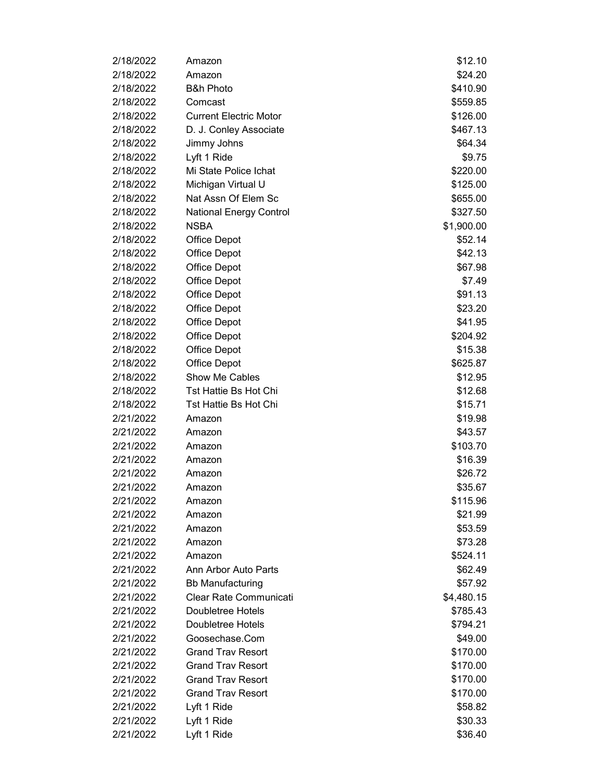| 2/18/2022 | Amazon                         | \$12.10    |
|-----------|--------------------------------|------------|
| 2/18/2022 | Amazon                         | \$24.20    |
| 2/18/2022 | <b>B&amp;h Photo</b>           | \$410.90   |
| 2/18/2022 | Comcast                        | \$559.85   |
| 2/18/2022 | <b>Current Electric Motor</b>  | \$126.00   |
| 2/18/2022 | D. J. Conley Associate         | \$467.13   |
| 2/18/2022 | Jimmy Johns                    | \$64.34    |
| 2/18/2022 | Lyft 1 Ride                    | \$9.75     |
| 2/18/2022 | Mi State Police Ichat          | \$220.00   |
| 2/18/2022 | Michigan Virtual U             | \$125.00   |
| 2/18/2022 | Nat Assn Of Elem Sc            | \$655.00   |
| 2/18/2022 | <b>National Energy Control</b> | \$327.50   |
| 2/18/2022 | <b>NSBA</b>                    | \$1,900.00 |
| 2/18/2022 | <b>Office Depot</b>            | \$52.14    |
| 2/18/2022 | <b>Office Depot</b>            | \$42.13    |
| 2/18/2022 | <b>Office Depot</b>            | \$67.98    |
| 2/18/2022 | <b>Office Depot</b>            | \$7.49     |
| 2/18/2022 | <b>Office Depot</b>            | \$91.13    |
| 2/18/2022 | <b>Office Depot</b>            | \$23.20    |
| 2/18/2022 | <b>Office Depot</b>            | \$41.95    |
| 2/18/2022 | <b>Office Depot</b>            | \$204.92   |
| 2/18/2022 | <b>Office Depot</b>            | \$15.38    |
| 2/18/2022 | <b>Office Depot</b>            | \$625.87   |
| 2/18/2022 | Show Me Cables                 | \$12.95    |
| 2/18/2022 | Tst Hattie Bs Hot Chi          | \$12.68    |
| 2/18/2022 | <b>Tst Hattie Bs Hot Chi</b>   | \$15.71    |
| 2/21/2022 | Amazon                         | \$19.98    |
| 2/21/2022 | Amazon                         | \$43.57    |
| 2/21/2022 | Amazon                         | \$103.70   |
| 2/21/2022 | Amazon                         | \$16.39    |
| 2/21/2022 | Amazon                         | \$26.72    |
| 2/21/2022 | Amazon                         | \$35.67    |
| 2/21/2022 | Amazon                         | \$115.96   |
| 2/21/2022 | Amazon                         | \$21.99    |
| 2/21/2022 | Amazon                         | \$53.59    |
| 2/21/2022 | Amazon                         | \$73.28    |
| 2/21/2022 | Amazon                         | \$524.11   |
| 2/21/2022 | Ann Arbor Auto Parts           | \$62.49    |
| 2/21/2022 | <b>Bb Manufacturing</b>        | \$57.92    |
| 2/21/2022 | Clear Rate Communicati         | \$4,480.15 |
| 2/21/2022 | Doubletree Hotels              | \$785.43   |
| 2/21/2022 | Doubletree Hotels              | \$794.21   |
| 2/21/2022 | Goosechase.Com                 | \$49.00    |
| 2/21/2022 | <b>Grand Trav Resort</b>       | \$170.00   |
| 2/21/2022 | <b>Grand Trav Resort</b>       | \$170.00   |
| 2/21/2022 | <b>Grand Trav Resort</b>       | \$170.00   |
| 2/21/2022 | <b>Grand Trav Resort</b>       | \$170.00   |
| 2/21/2022 | Lyft 1 Ride                    | \$58.82    |
| 2/21/2022 | Lyft 1 Ride                    | \$30.33    |
| 2/21/2022 | Lyft 1 Ride                    | \$36.40    |
|           |                                |            |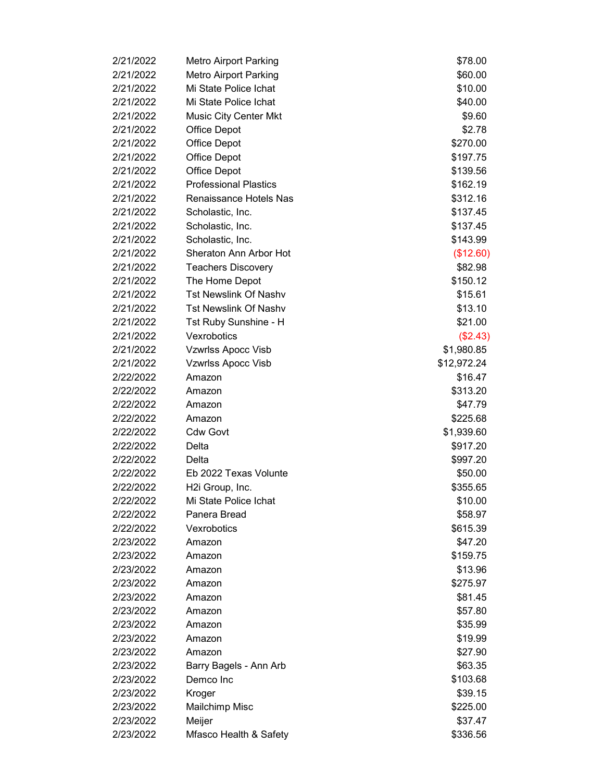| 2/21/2022 | <b>Metro Airport Parking</b>  | \$78.00     |
|-----------|-------------------------------|-------------|
| 2/21/2022 | <b>Metro Airport Parking</b>  | \$60.00     |
| 2/21/2022 | Mi State Police Ichat         | \$10.00     |
| 2/21/2022 | Mi State Police Ichat         | \$40.00     |
| 2/21/2022 | <b>Music City Center Mkt</b>  | \$9.60      |
| 2/21/2022 | <b>Office Depot</b>           | \$2.78      |
| 2/21/2022 | <b>Office Depot</b>           | \$270.00    |
| 2/21/2022 | <b>Office Depot</b>           | \$197.75    |
| 2/21/2022 | <b>Office Depot</b>           | \$139.56    |
| 2/21/2022 | <b>Professional Plastics</b>  | \$162.19    |
| 2/21/2022 | <b>Renaissance Hotels Nas</b> | \$312.16    |
| 2/21/2022 | Scholastic, Inc.              | \$137.45    |
| 2/21/2022 | Scholastic, Inc.              | \$137.45    |
| 2/21/2022 | Scholastic, Inc.              | \$143.99    |
| 2/21/2022 | Sheraton Ann Arbor Hot        | (\$12.60)   |
| 2/21/2022 | <b>Teachers Discovery</b>     | \$82.98     |
| 2/21/2022 | The Home Depot                | \$150.12    |
| 2/21/2022 | <b>Tst Newslink Of Nashv</b>  | \$15.61     |
| 2/21/2022 | <b>Tst Newslink Of Nashv</b>  | \$13.10     |
| 2/21/2022 | Tst Ruby Sunshine - H         | \$21.00     |
| 2/21/2022 | Vexrobotics                   | (\$2.43)    |
| 2/21/2022 | Vzwrlss Apocc Visb            | \$1,980.85  |
| 2/21/2022 | Vzwrlss Apocc Visb            | \$12,972.24 |
| 2/22/2022 | Amazon                        | \$16.47     |
| 2/22/2022 | Amazon                        | \$313.20    |
| 2/22/2022 | Amazon                        | \$47.79     |
| 2/22/2022 | Amazon                        | \$225.68    |
| 2/22/2022 | <b>Cdw Govt</b>               | \$1,939.60  |
| 2/22/2022 | Delta                         | \$917.20    |
| 2/22/2022 | Delta                         | \$997.20    |
| 2/22/2022 | Eb 2022 Texas Volunte         | \$50.00     |
| 2/22/2022 | H2i Group, Inc.               | \$355.65    |
| 2/22/2022 | Mi State Police Ichat         | \$10.00     |
| 2/22/2022 | Panera Bread                  | \$58.97     |
| 2/22/2022 | Vexrobotics                   | \$615.39    |
| 2/23/2022 | Amazon                        | \$47.20     |
| 2/23/2022 | Amazon                        | \$159.75    |
| 2/23/2022 | Amazon                        | \$13.96     |
| 2/23/2022 | Amazon                        | \$275.97    |
| 2/23/2022 | Amazon                        | \$81.45     |
| 2/23/2022 | Amazon                        | \$57.80     |
| 2/23/2022 | Amazon                        | \$35.99     |
| 2/23/2022 | Amazon                        | \$19.99     |
| 2/23/2022 | Amazon                        | \$27.90     |
| 2/23/2022 | Barry Bagels - Ann Arb        | \$63.35     |
| 2/23/2022 | Demco Inc                     | \$103.68    |
| 2/23/2022 | Kroger                        | \$39.15     |
| 2/23/2022 | <b>Mailchimp Misc</b>         | \$225.00    |
| 2/23/2022 | Meijer                        | \$37.47     |
| 2/23/2022 | Mfasco Health & Safety        | \$336.56    |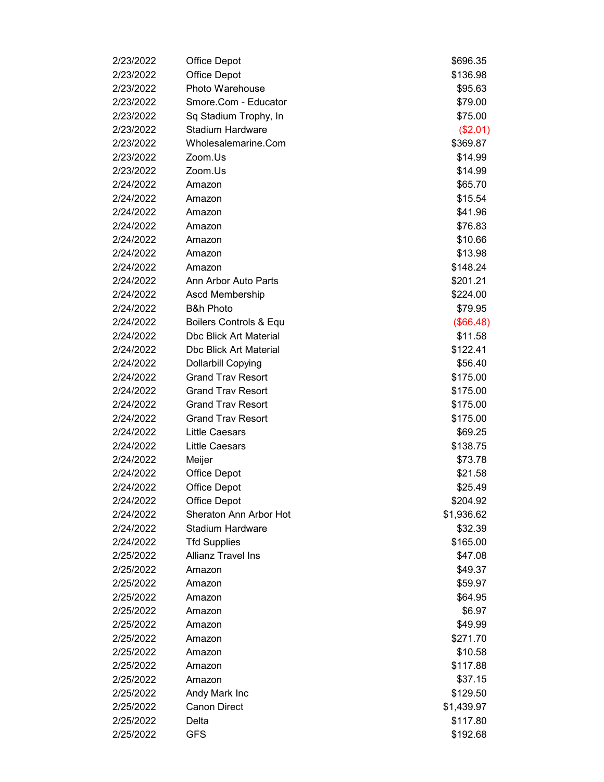| 2/23/2022<br><b>Office Depot</b><br>\$136.98<br>2/23/2022<br>Photo Warehouse<br>\$95.63<br>2/23/2022<br>Smore.Com - Educator<br>\$79.00<br>2/23/2022<br>Sq Stadium Trophy, In<br>\$75.00<br><b>Stadium Hardware</b><br>2/23/2022<br>(\$2.01)<br>2/23/2022<br>Wholesalemarine.Com<br>\$369.87<br>2/23/2022<br>Zoom.Us<br>\$14.99<br>2/23/2022<br>Zoom.Us<br>\$14.99<br>2/24/2022<br>\$65.70<br>Amazon<br>2/24/2022<br>Amazon<br>\$15.54<br>2/24/2022<br>\$41.96<br>Amazon<br>2/24/2022<br>\$76.83<br>Amazon<br>2/24/2022<br>Amazon<br>\$10.66<br>2/24/2022<br>Amazon<br>\$13.98<br>2/24/2022<br>\$148.24<br>Amazon<br>2/24/2022<br>Ann Arbor Auto Parts<br>\$201.21<br>2/24/2022<br>\$224.00<br>Ascd Membership<br><b>B&amp;h Photo</b><br>2/24/2022<br>\$79.95<br>2/24/2022<br>Boilers Controls & Equ<br>(\$66.48)<br>2/24/2022<br><b>Dbc Blick Art Material</b><br>\$11.58<br>2/24/2022<br><b>Dbc Blick Art Material</b><br>\$122.41<br>2/24/2022<br><b>Dollarbill Copying</b><br>\$56.40<br><b>Grand Trav Resort</b><br>2/24/2022<br>\$175.00<br>2/24/2022<br><b>Grand Trav Resort</b><br>\$175.00<br><b>Grand Trav Resort</b><br>2/24/2022<br>\$175.00<br><b>Grand Trav Resort</b><br>2/24/2022<br>\$175.00<br>2/24/2022<br><b>Little Caesars</b><br>\$69.25<br>2/24/2022<br><b>Little Caesars</b><br>\$138.75<br>2/24/2022<br>Meijer<br>\$73.78<br>2/24/2022<br><b>Office Depot</b><br>\$21.58<br>2/24/2022<br>\$25.49<br><b>Office Depot</b><br>2/24/2022<br><b>Office Depot</b><br>\$204.92<br>2/24/2022<br>Sheraton Ann Arbor Hot<br>\$1,936.62<br><b>Stadium Hardware</b><br>2/24/2022<br>\$32.39<br>2/24/2022<br><b>Tfd Supplies</b><br>\$165.00<br>2/25/2022<br><b>Allianz Travel Ins</b><br>\$47.08<br>2/25/2022<br>\$49.37<br>Amazon<br>2/25/2022<br>Amazon<br>\$59.97<br>2/25/2022<br>Amazon<br>\$64.95<br>\$6.97<br>2/25/2022<br>Amazon<br>\$49.99<br>2/25/2022<br>Amazon<br>2/25/2022<br>Amazon<br>\$271.70<br>2/25/2022<br>\$10.58<br>Amazon<br>2/25/2022<br>\$117.88<br>Amazon<br>2/25/2022<br>\$37.15<br>Amazon<br>2/25/2022<br>Andy Mark Inc<br>\$129.50<br><b>Canon Direct</b><br>\$1,439.97<br>2/25/2022<br>2/25/2022<br>Delta<br>\$117.80 | 2/23/2022 | <b>Office Depot</b> | \$696.35 |
|-----------------------------------------------------------------------------------------------------------------------------------------------------------------------------------------------------------------------------------------------------------------------------------------------------------------------------------------------------------------------------------------------------------------------------------------------------------------------------------------------------------------------------------------------------------------------------------------------------------------------------------------------------------------------------------------------------------------------------------------------------------------------------------------------------------------------------------------------------------------------------------------------------------------------------------------------------------------------------------------------------------------------------------------------------------------------------------------------------------------------------------------------------------------------------------------------------------------------------------------------------------------------------------------------------------------------------------------------------------------------------------------------------------------------------------------------------------------------------------------------------------------------------------------------------------------------------------------------------------------------------------------------------------------------------------------------------------------------------------------------------------------------------------------------------------------------------------------------------------------------------------------------------------------------------------------------------------------------------------------------------------------------------------------------------------------------------------------------------------------------------------------------------------------|-----------|---------------------|----------|
|                                                                                                                                                                                                                                                                                                                                                                                                                                                                                                                                                                                                                                                                                                                                                                                                                                                                                                                                                                                                                                                                                                                                                                                                                                                                                                                                                                                                                                                                                                                                                                                                                                                                                                                                                                                                                                                                                                                                                                                                                                                                                                                                                                 |           |                     |          |
|                                                                                                                                                                                                                                                                                                                                                                                                                                                                                                                                                                                                                                                                                                                                                                                                                                                                                                                                                                                                                                                                                                                                                                                                                                                                                                                                                                                                                                                                                                                                                                                                                                                                                                                                                                                                                                                                                                                                                                                                                                                                                                                                                                 |           |                     |          |
|                                                                                                                                                                                                                                                                                                                                                                                                                                                                                                                                                                                                                                                                                                                                                                                                                                                                                                                                                                                                                                                                                                                                                                                                                                                                                                                                                                                                                                                                                                                                                                                                                                                                                                                                                                                                                                                                                                                                                                                                                                                                                                                                                                 |           |                     |          |
|                                                                                                                                                                                                                                                                                                                                                                                                                                                                                                                                                                                                                                                                                                                                                                                                                                                                                                                                                                                                                                                                                                                                                                                                                                                                                                                                                                                                                                                                                                                                                                                                                                                                                                                                                                                                                                                                                                                                                                                                                                                                                                                                                                 |           |                     |          |
|                                                                                                                                                                                                                                                                                                                                                                                                                                                                                                                                                                                                                                                                                                                                                                                                                                                                                                                                                                                                                                                                                                                                                                                                                                                                                                                                                                                                                                                                                                                                                                                                                                                                                                                                                                                                                                                                                                                                                                                                                                                                                                                                                                 |           |                     |          |
|                                                                                                                                                                                                                                                                                                                                                                                                                                                                                                                                                                                                                                                                                                                                                                                                                                                                                                                                                                                                                                                                                                                                                                                                                                                                                                                                                                                                                                                                                                                                                                                                                                                                                                                                                                                                                                                                                                                                                                                                                                                                                                                                                                 |           |                     |          |
|                                                                                                                                                                                                                                                                                                                                                                                                                                                                                                                                                                                                                                                                                                                                                                                                                                                                                                                                                                                                                                                                                                                                                                                                                                                                                                                                                                                                                                                                                                                                                                                                                                                                                                                                                                                                                                                                                                                                                                                                                                                                                                                                                                 |           |                     |          |
|                                                                                                                                                                                                                                                                                                                                                                                                                                                                                                                                                                                                                                                                                                                                                                                                                                                                                                                                                                                                                                                                                                                                                                                                                                                                                                                                                                                                                                                                                                                                                                                                                                                                                                                                                                                                                                                                                                                                                                                                                                                                                                                                                                 |           |                     |          |
|                                                                                                                                                                                                                                                                                                                                                                                                                                                                                                                                                                                                                                                                                                                                                                                                                                                                                                                                                                                                                                                                                                                                                                                                                                                                                                                                                                                                                                                                                                                                                                                                                                                                                                                                                                                                                                                                                                                                                                                                                                                                                                                                                                 |           |                     |          |
|                                                                                                                                                                                                                                                                                                                                                                                                                                                                                                                                                                                                                                                                                                                                                                                                                                                                                                                                                                                                                                                                                                                                                                                                                                                                                                                                                                                                                                                                                                                                                                                                                                                                                                                                                                                                                                                                                                                                                                                                                                                                                                                                                                 |           |                     |          |
|                                                                                                                                                                                                                                                                                                                                                                                                                                                                                                                                                                                                                                                                                                                                                                                                                                                                                                                                                                                                                                                                                                                                                                                                                                                                                                                                                                                                                                                                                                                                                                                                                                                                                                                                                                                                                                                                                                                                                                                                                                                                                                                                                                 |           |                     |          |
|                                                                                                                                                                                                                                                                                                                                                                                                                                                                                                                                                                                                                                                                                                                                                                                                                                                                                                                                                                                                                                                                                                                                                                                                                                                                                                                                                                                                                                                                                                                                                                                                                                                                                                                                                                                                                                                                                                                                                                                                                                                                                                                                                                 |           |                     |          |
|                                                                                                                                                                                                                                                                                                                                                                                                                                                                                                                                                                                                                                                                                                                                                                                                                                                                                                                                                                                                                                                                                                                                                                                                                                                                                                                                                                                                                                                                                                                                                                                                                                                                                                                                                                                                                                                                                                                                                                                                                                                                                                                                                                 |           |                     |          |
|                                                                                                                                                                                                                                                                                                                                                                                                                                                                                                                                                                                                                                                                                                                                                                                                                                                                                                                                                                                                                                                                                                                                                                                                                                                                                                                                                                                                                                                                                                                                                                                                                                                                                                                                                                                                                                                                                                                                                                                                                                                                                                                                                                 |           |                     |          |
|                                                                                                                                                                                                                                                                                                                                                                                                                                                                                                                                                                                                                                                                                                                                                                                                                                                                                                                                                                                                                                                                                                                                                                                                                                                                                                                                                                                                                                                                                                                                                                                                                                                                                                                                                                                                                                                                                                                                                                                                                                                                                                                                                                 |           |                     |          |
|                                                                                                                                                                                                                                                                                                                                                                                                                                                                                                                                                                                                                                                                                                                                                                                                                                                                                                                                                                                                                                                                                                                                                                                                                                                                                                                                                                                                                                                                                                                                                                                                                                                                                                                                                                                                                                                                                                                                                                                                                                                                                                                                                                 |           |                     |          |
|                                                                                                                                                                                                                                                                                                                                                                                                                                                                                                                                                                                                                                                                                                                                                                                                                                                                                                                                                                                                                                                                                                                                                                                                                                                                                                                                                                                                                                                                                                                                                                                                                                                                                                                                                                                                                                                                                                                                                                                                                                                                                                                                                                 |           |                     |          |
|                                                                                                                                                                                                                                                                                                                                                                                                                                                                                                                                                                                                                                                                                                                                                                                                                                                                                                                                                                                                                                                                                                                                                                                                                                                                                                                                                                                                                                                                                                                                                                                                                                                                                                                                                                                                                                                                                                                                                                                                                                                                                                                                                                 |           |                     |          |
|                                                                                                                                                                                                                                                                                                                                                                                                                                                                                                                                                                                                                                                                                                                                                                                                                                                                                                                                                                                                                                                                                                                                                                                                                                                                                                                                                                                                                                                                                                                                                                                                                                                                                                                                                                                                                                                                                                                                                                                                                                                                                                                                                                 |           |                     |          |
|                                                                                                                                                                                                                                                                                                                                                                                                                                                                                                                                                                                                                                                                                                                                                                                                                                                                                                                                                                                                                                                                                                                                                                                                                                                                                                                                                                                                                                                                                                                                                                                                                                                                                                                                                                                                                                                                                                                                                                                                                                                                                                                                                                 |           |                     |          |
|                                                                                                                                                                                                                                                                                                                                                                                                                                                                                                                                                                                                                                                                                                                                                                                                                                                                                                                                                                                                                                                                                                                                                                                                                                                                                                                                                                                                                                                                                                                                                                                                                                                                                                                                                                                                                                                                                                                                                                                                                                                                                                                                                                 |           |                     |          |
|                                                                                                                                                                                                                                                                                                                                                                                                                                                                                                                                                                                                                                                                                                                                                                                                                                                                                                                                                                                                                                                                                                                                                                                                                                                                                                                                                                                                                                                                                                                                                                                                                                                                                                                                                                                                                                                                                                                                                                                                                                                                                                                                                                 |           |                     |          |
|                                                                                                                                                                                                                                                                                                                                                                                                                                                                                                                                                                                                                                                                                                                                                                                                                                                                                                                                                                                                                                                                                                                                                                                                                                                                                                                                                                                                                                                                                                                                                                                                                                                                                                                                                                                                                                                                                                                                                                                                                                                                                                                                                                 |           |                     |          |
|                                                                                                                                                                                                                                                                                                                                                                                                                                                                                                                                                                                                                                                                                                                                                                                                                                                                                                                                                                                                                                                                                                                                                                                                                                                                                                                                                                                                                                                                                                                                                                                                                                                                                                                                                                                                                                                                                                                                                                                                                                                                                                                                                                 |           |                     |          |
|                                                                                                                                                                                                                                                                                                                                                                                                                                                                                                                                                                                                                                                                                                                                                                                                                                                                                                                                                                                                                                                                                                                                                                                                                                                                                                                                                                                                                                                                                                                                                                                                                                                                                                                                                                                                                                                                                                                                                                                                                                                                                                                                                                 |           |                     |          |
|                                                                                                                                                                                                                                                                                                                                                                                                                                                                                                                                                                                                                                                                                                                                                                                                                                                                                                                                                                                                                                                                                                                                                                                                                                                                                                                                                                                                                                                                                                                                                                                                                                                                                                                                                                                                                                                                                                                                                                                                                                                                                                                                                                 |           |                     |          |
|                                                                                                                                                                                                                                                                                                                                                                                                                                                                                                                                                                                                                                                                                                                                                                                                                                                                                                                                                                                                                                                                                                                                                                                                                                                                                                                                                                                                                                                                                                                                                                                                                                                                                                                                                                                                                                                                                                                                                                                                                                                                                                                                                                 |           |                     |          |
|                                                                                                                                                                                                                                                                                                                                                                                                                                                                                                                                                                                                                                                                                                                                                                                                                                                                                                                                                                                                                                                                                                                                                                                                                                                                                                                                                                                                                                                                                                                                                                                                                                                                                                                                                                                                                                                                                                                                                                                                                                                                                                                                                                 |           |                     |          |
|                                                                                                                                                                                                                                                                                                                                                                                                                                                                                                                                                                                                                                                                                                                                                                                                                                                                                                                                                                                                                                                                                                                                                                                                                                                                                                                                                                                                                                                                                                                                                                                                                                                                                                                                                                                                                                                                                                                                                                                                                                                                                                                                                                 |           |                     |          |
|                                                                                                                                                                                                                                                                                                                                                                                                                                                                                                                                                                                                                                                                                                                                                                                                                                                                                                                                                                                                                                                                                                                                                                                                                                                                                                                                                                                                                                                                                                                                                                                                                                                                                                                                                                                                                                                                                                                                                                                                                                                                                                                                                                 |           |                     |          |
|                                                                                                                                                                                                                                                                                                                                                                                                                                                                                                                                                                                                                                                                                                                                                                                                                                                                                                                                                                                                                                                                                                                                                                                                                                                                                                                                                                                                                                                                                                                                                                                                                                                                                                                                                                                                                                                                                                                                                                                                                                                                                                                                                                 |           |                     |          |
|                                                                                                                                                                                                                                                                                                                                                                                                                                                                                                                                                                                                                                                                                                                                                                                                                                                                                                                                                                                                                                                                                                                                                                                                                                                                                                                                                                                                                                                                                                                                                                                                                                                                                                                                                                                                                                                                                                                                                                                                                                                                                                                                                                 |           |                     |          |
|                                                                                                                                                                                                                                                                                                                                                                                                                                                                                                                                                                                                                                                                                                                                                                                                                                                                                                                                                                                                                                                                                                                                                                                                                                                                                                                                                                                                                                                                                                                                                                                                                                                                                                                                                                                                                                                                                                                                                                                                                                                                                                                                                                 |           |                     |          |
|                                                                                                                                                                                                                                                                                                                                                                                                                                                                                                                                                                                                                                                                                                                                                                                                                                                                                                                                                                                                                                                                                                                                                                                                                                                                                                                                                                                                                                                                                                                                                                                                                                                                                                                                                                                                                                                                                                                                                                                                                                                                                                                                                                 |           |                     |          |
|                                                                                                                                                                                                                                                                                                                                                                                                                                                                                                                                                                                                                                                                                                                                                                                                                                                                                                                                                                                                                                                                                                                                                                                                                                                                                                                                                                                                                                                                                                                                                                                                                                                                                                                                                                                                                                                                                                                                                                                                                                                                                                                                                                 |           |                     |          |
|                                                                                                                                                                                                                                                                                                                                                                                                                                                                                                                                                                                                                                                                                                                                                                                                                                                                                                                                                                                                                                                                                                                                                                                                                                                                                                                                                                                                                                                                                                                                                                                                                                                                                                                                                                                                                                                                                                                                                                                                                                                                                                                                                                 |           |                     |          |
|                                                                                                                                                                                                                                                                                                                                                                                                                                                                                                                                                                                                                                                                                                                                                                                                                                                                                                                                                                                                                                                                                                                                                                                                                                                                                                                                                                                                                                                                                                                                                                                                                                                                                                                                                                                                                                                                                                                                                                                                                                                                                                                                                                 |           |                     |          |
|                                                                                                                                                                                                                                                                                                                                                                                                                                                                                                                                                                                                                                                                                                                                                                                                                                                                                                                                                                                                                                                                                                                                                                                                                                                                                                                                                                                                                                                                                                                                                                                                                                                                                                                                                                                                                                                                                                                                                                                                                                                                                                                                                                 |           |                     |          |
|                                                                                                                                                                                                                                                                                                                                                                                                                                                                                                                                                                                                                                                                                                                                                                                                                                                                                                                                                                                                                                                                                                                                                                                                                                                                                                                                                                                                                                                                                                                                                                                                                                                                                                                                                                                                                                                                                                                                                                                                                                                                                                                                                                 |           |                     |          |
|                                                                                                                                                                                                                                                                                                                                                                                                                                                                                                                                                                                                                                                                                                                                                                                                                                                                                                                                                                                                                                                                                                                                                                                                                                                                                                                                                                                                                                                                                                                                                                                                                                                                                                                                                                                                                                                                                                                                                                                                                                                                                                                                                                 |           |                     |          |
|                                                                                                                                                                                                                                                                                                                                                                                                                                                                                                                                                                                                                                                                                                                                                                                                                                                                                                                                                                                                                                                                                                                                                                                                                                                                                                                                                                                                                                                                                                                                                                                                                                                                                                                                                                                                                                                                                                                                                                                                                                                                                                                                                                 |           |                     |          |
|                                                                                                                                                                                                                                                                                                                                                                                                                                                                                                                                                                                                                                                                                                                                                                                                                                                                                                                                                                                                                                                                                                                                                                                                                                                                                                                                                                                                                                                                                                                                                                                                                                                                                                                                                                                                                                                                                                                                                                                                                                                                                                                                                                 |           |                     |          |
|                                                                                                                                                                                                                                                                                                                                                                                                                                                                                                                                                                                                                                                                                                                                                                                                                                                                                                                                                                                                                                                                                                                                                                                                                                                                                                                                                                                                                                                                                                                                                                                                                                                                                                                                                                                                                                                                                                                                                                                                                                                                                                                                                                 |           |                     |          |
|                                                                                                                                                                                                                                                                                                                                                                                                                                                                                                                                                                                                                                                                                                                                                                                                                                                                                                                                                                                                                                                                                                                                                                                                                                                                                                                                                                                                                                                                                                                                                                                                                                                                                                                                                                                                                                                                                                                                                                                                                                                                                                                                                                 |           |                     |          |
|                                                                                                                                                                                                                                                                                                                                                                                                                                                                                                                                                                                                                                                                                                                                                                                                                                                                                                                                                                                                                                                                                                                                                                                                                                                                                                                                                                                                                                                                                                                                                                                                                                                                                                                                                                                                                                                                                                                                                                                                                                                                                                                                                                 |           |                     |          |
|                                                                                                                                                                                                                                                                                                                                                                                                                                                                                                                                                                                                                                                                                                                                                                                                                                                                                                                                                                                                                                                                                                                                                                                                                                                                                                                                                                                                                                                                                                                                                                                                                                                                                                                                                                                                                                                                                                                                                                                                                                                                                                                                                                 |           |                     |          |
|                                                                                                                                                                                                                                                                                                                                                                                                                                                                                                                                                                                                                                                                                                                                                                                                                                                                                                                                                                                                                                                                                                                                                                                                                                                                                                                                                                                                                                                                                                                                                                                                                                                                                                                                                                                                                                                                                                                                                                                                                                                                                                                                                                 |           |                     |          |
|                                                                                                                                                                                                                                                                                                                                                                                                                                                                                                                                                                                                                                                                                                                                                                                                                                                                                                                                                                                                                                                                                                                                                                                                                                                                                                                                                                                                                                                                                                                                                                                                                                                                                                                                                                                                                                                                                                                                                                                                                                                                                                                                                                 |           |                     |          |
|                                                                                                                                                                                                                                                                                                                                                                                                                                                                                                                                                                                                                                                                                                                                                                                                                                                                                                                                                                                                                                                                                                                                                                                                                                                                                                                                                                                                                                                                                                                                                                                                                                                                                                                                                                                                                                                                                                                                                                                                                                                                                                                                                                 | 2/25/2022 | <b>GFS</b>          | \$192.68 |